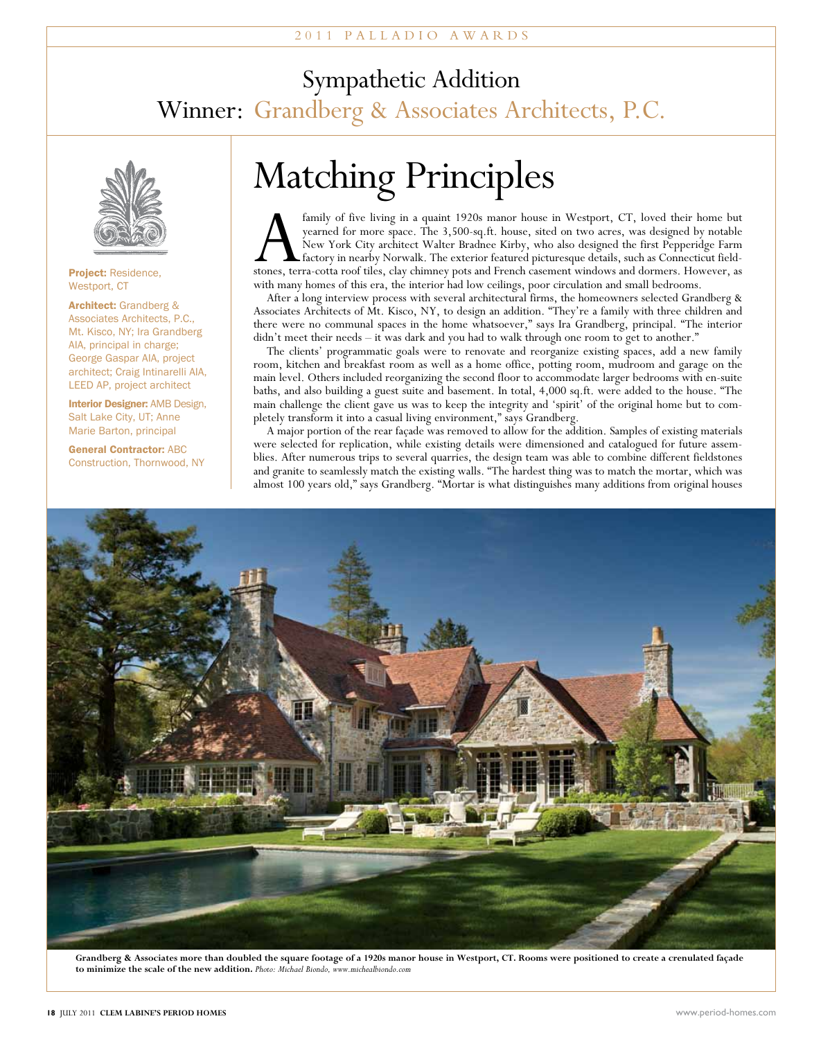## Sympathetic Addition Winner: Grandberg & Associates Architects, P.C.



#### Project: Residence Westport, CT

Architect: Grandberg & Associates Architects, P.C., Mt. Kisco, NY; Ira Grandberg AIA, principal in charge; George Gaspar AIA, project architect; Craig Intinarelli AIA, LEED AP, project architect

**Interior Designer: AMB Design,** Salt Lake City, UT; Anne Marie Barton, principal

General Contractor: ABC Construction, Thornwood, NY

# Matching Principles

family of five living in a quaint 1920s manor house in Westport, CT, loved their home but<br>yearned for more space. The 3,500-sq.ft. house, sited on two acres, was designed by notable<br>New York City architect Walter Bradnee K yearned for more space. The 3,500-sq.ft. house, sited on two acres, was designed by notable New York City architect Walter Bradnee Kirby, who also designed the first Pepperidge Farm factory in nearby Norwalk. The exterior featured picturesque details, such as Connecticut fieldstones, terra-cotta roof tiles, clay chimney pots and French casement windows and dormers. However, as with many homes of this era, the interior had low ceilings, poor circulation and small bedrooms.

After a long interview process with several architectural firms, the homeowners selected Grandberg & Associates Architects of Mt. Kisco, NY, to design an addition. "They're a family with three children and there were no communal spaces in the home whatsoever," says Ira Grandberg, principal. "The interior didn't meet their needs – it was dark and you had to walk through one room to get to another."

The clients' programmatic goals were to renovate and reorganize existing spaces, add a new family room, kitchen and breakfast room as well as a home office, potting room, mudroom and garage on the main level. Others included reorganizing the second floor to accommodate larger bedrooms with en-suite baths, and also building a guest suite and basement. In total, 4,000 sq.ft. were added to the house. "The main challenge the client gave us was to keep the integrity and 'spirit' of the original home but to completely transform it into a casual living environment," says Grandberg.

A major portion of the rear façade was removed to allow for the addition. Samples of existing materials were selected for replication, while existing details were dimensioned and catalogued for future assemblies. After numerous trips to several quarries, the design team was able to combine different fieldstones and granite to seamlessly match the existing walls. "The hardest thing was to match the mortar, which was almost 100 years old," says Grandberg. "Mortar is what distinguishes many additions from original houses



**Grandberg & Associates more than doubled the square footage of a 1920s manor house in Westport, CT. Rooms were positioned to create a crenulated façade to minimize the scale of the new addition.** *Photo: Michael Biondo, www.michealbiondo.com*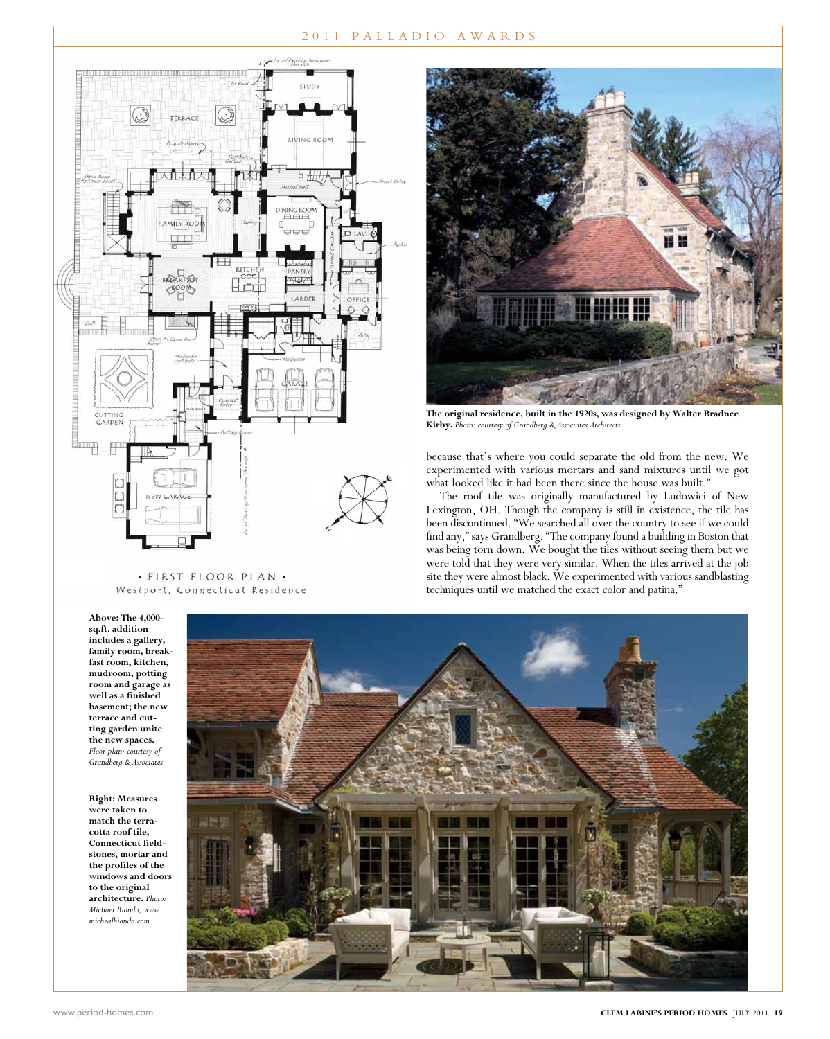#### 2 0 1 1 P A L L A D I O A W A R D S



#### · FIRST FLOOR PLAN · Westport, Connecticut Residence



**The original residence, built in the 1920s, was designed by Walter Bradnee Kirby.** *Photo: courtesy of Grandberg & Associates Architects*

because that's where you could separate the old from the new. We experimented with various mortars and sand mixtures until we got what looked like it had been there since the house was built."

The roof tile was originally manufactured by Ludowici of New Lexington, OH. Though the company is still in existence, the tile has been discontinued. "We searched all over the country to see if we could find any," says Grandberg. "The company found a building in Boston that was being torn down. We bought the tiles without seeing them but we were told that they were very similar. When the tiles arrived at the job site they were almost black. We experimented with various sandblasting techniques until we matched the exact color and patina."

**Above: The 4,000 sq.ft. addition includes a gallery, family room, breakfast room, kitchen, mudroom, potting room and garage as well as a finished basement; the new terrace and cutting garden unite the new spaces.**  *Floor plan: courtesy of Grandberg & Associates*

**Right: Measures were taken to match the terracotta roof tile, Connecticut fieldstones, mortar and the profiles of the windows and doors to the original architecture.** *Photo: Michael Biondo, www. michealbiondo.com*

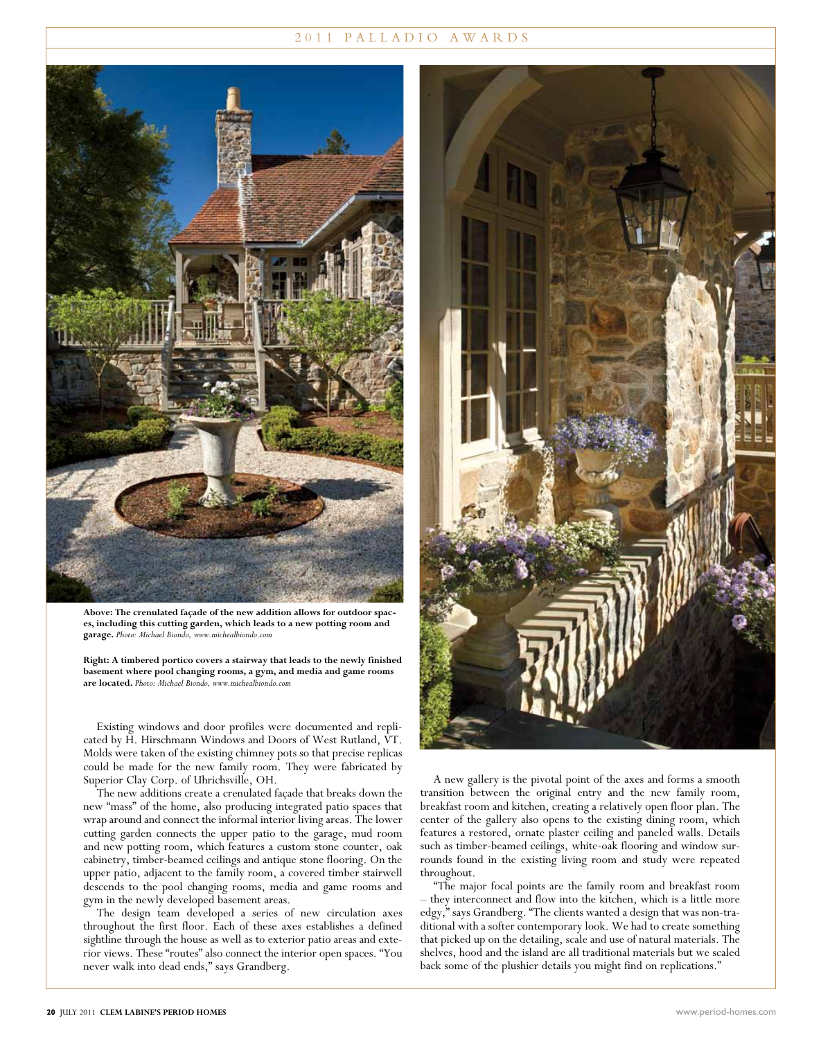#### 2 0 1 1 P A L L A D I O A W A R D S



**Above: The crenulated façade of the new addition allows for outdoor spaces, including this cutting garden, which leads to a new potting room and garage.** *Photo: Michael Biondo, www.michealbiondo.com*

**Right: A timbered portico covers a stairway that leads to the newly finished basement where pool changing rooms, a gym, and media and game rooms are located.** *Photo: Michael Biondo, www.michealbiondo.com*

Existing windows and door profiles were documented and replicated by H. Hirschmann Windows and Doors of West Rutland, VT. Molds were taken of the existing chimney pots so that precise replicas could be made for the new family room. They were fabricated by Superior Clay Corp. of Uhrichsville, OH.

The new additions create a crenulated façade that breaks down the new "mass" of the home, also producing integrated patio spaces that wrap around and connect the informal interior living areas. The lower cutting garden connects the upper patio to the garage, mud room and new potting room, which features a custom stone counter, oak cabinetry, timber-beamed ceilings and antique stone flooring. On the upper patio, adjacent to the family room, a covered timber stairwell descends to the pool changing rooms, media and game rooms and gym in the newly developed basement areas.

The design team developed a series of new circulation axes throughout the first floor. Each of these axes establishes a defined sightline through the house as well as to exterior patio areas and exterior views. These "routes" also connect the interior open spaces. "You never walk into dead ends," says Grandberg.



A new gallery is the pivotal point of the axes and forms a smooth transition between the original entry and the new family room, breakfast room and kitchen, creating a relatively open floor plan. The center of the gallery also opens to the existing dining room, which features a restored, ornate plaster ceiling and paneled walls. Details such as timber-beamed ceilings, white-oak flooring and window surrounds found in the existing living room and study were repeated throughout.

"The major focal points are the family room and breakfast room – they interconnect and flow into the kitchen, which is a little more edgy," says Grandberg. "The clients wanted a design that was non-traditional with a softer contemporary look. We had to create something that picked up on the detailing, scale and use of natural materials. The shelves, hood and the island are all traditional materials but we scaled back some of the plushier details you might find on replications."